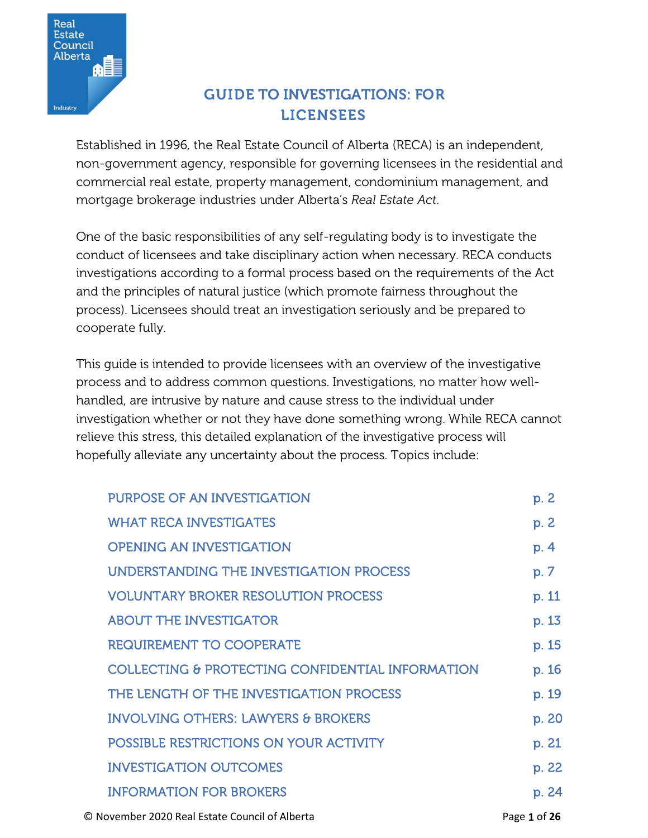

# GUIDE TO INVESTIGATIONS: FOR LICENSEES

Established in 1996, the Real Estate Council of Alberta (RECA) is an independent, non-government agency, responsible for governing licensees in the residential and commercial real estate, property management, condominium management, and mortgage brokerage industries under Alberta's *Real Estate Act*.

One of the basic responsibilities of any self-regulating body is to investigate the conduct of licensees and take disciplinary action when necessary. RECA conducts investigations according to a formal process based on the requirements of the Act and the principles of natural justice (which promote fairness throughout the process). Licensees should treat an investigation seriously and be prepared to cooperate fully.

This guide is intended to provide licensees with an overview of the investigative process and to address common questions. Investigations, no matter how wellhandled, are intrusive by nature and cause stress to the individual under investigation whether or not they have done something wrong. While RECA cannot relieve this stress, this detailed explanation of the investigative process will hopefully alleviate any uncertainty about the process. Topics include:

| PURPOSE OF AN INVESTIGATION                                                                                                                                                                                                                                                                                                                                                                                                                                                                | p. 2                 |
|--------------------------------------------------------------------------------------------------------------------------------------------------------------------------------------------------------------------------------------------------------------------------------------------------------------------------------------------------------------------------------------------------------------------------------------------------------------------------------------------|----------------------|
| <b>WHAT RECA INVESTIGATES</b>                                                                                                                                                                                                                                                                                                                                                                                                                                                              | p. 2                 |
| <b>OPENING AN INVESTIGATION</b>                                                                                                                                                                                                                                                                                                                                                                                                                                                            | p. 4                 |
| UNDERSTANDING THE INVESTIGATION PROCESS                                                                                                                                                                                                                                                                                                                                                                                                                                                    | p. 7                 |
| <b>VOLUNTARY BROKER RESOLUTION PROCESS</b>                                                                                                                                                                                                                                                                                                                                                                                                                                                 | p. 11                |
| <b>ABOUT THE INVESTIGATOR</b>                                                                                                                                                                                                                                                                                                                                                                                                                                                              | p. 13                |
| <b>REQUIREMENT TO COOPERATE</b>                                                                                                                                                                                                                                                                                                                                                                                                                                                            | p. 15                |
| COLLECTING & PROTECTING CONFIDENTIAL INFORMATION                                                                                                                                                                                                                                                                                                                                                                                                                                           | p. 16                |
| THE LENGTH OF THE INVESTIGATION PROCESS                                                                                                                                                                                                                                                                                                                                                                                                                                                    | p. 19                |
| <b>INVOLVING OTHERS: LAWYERS &amp; BROKERS</b>                                                                                                                                                                                                                                                                                                                                                                                                                                             | p. 20                |
| POSSIBLE RESTRICTIONS ON YOUR ACTIVITY                                                                                                                                                                                                                                                                                                                                                                                                                                                     | p. 21                |
| <b>INVESTIGATION OUTCOMES</b>                                                                                                                                                                                                                                                                                                                                                                                                                                                              | p. 22                |
| <b>INFORMATION FOR BROKERS</b>                                                                                                                                                                                                                                                                                                                                                                                                                                                             | p. 24                |
| $\blacksquare$ $\blacksquare$ $\blacksquare$ $\blacksquare$ $\blacksquare$ $\blacksquare$ $\blacksquare$ $\blacksquare$ $\blacksquare$ $\blacksquare$ $\blacksquare$ $\blacksquare$ $\blacksquare$ $\blacksquare$ $\blacksquare$ $\blacksquare$ $\blacksquare$ $\blacksquare$ $\blacksquare$ $\blacksquare$ $\blacksquare$ $\blacksquare$ $\blacksquare$ $\blacksquare$ $\blacksquare$ $\blacksquare$ $\blacksquare$ $\blacksquare$ $\blacksquare$ $\blacksquare$ $\blacksquare$ $\blacks$ | $\sim$ $\sim$ $\sim$ |

© November 2020 Real Estate Council of Alberta Page **1** of **26**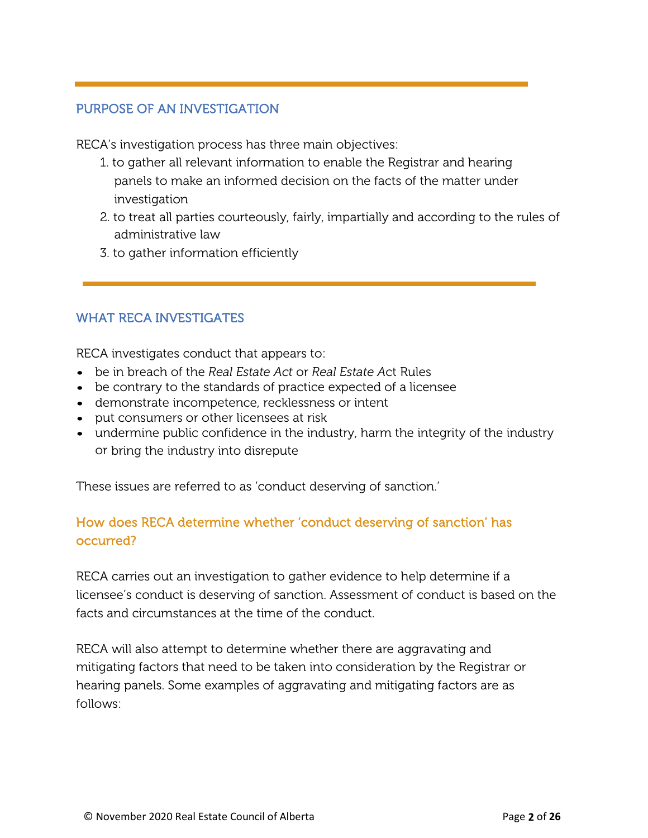#### PURPOSE OF AN INVESTIGATION

RECA's investigation process has three main objectives:

- 1. to gather all relevant information to enable the Registrar and hearing panels to make an informed decision on the facts of the matter under investigation
- 2. to treat all parties courteously, fairly, impartially and according to the rules of administrative law
- 3. to gather information efficiently

### WHAT RECA INVESTIGATES

RECA investigates conduct that appears to:

- be in breach of the *Real Estate Act* or *Real Estate A*ct Rules
- be contrary to the standards of practice expected of a licensee
- demonstrate incompetence, recklessness or intent
- put consumers or other licensees at risk
- undermine public confidence in the industry, harm the integrity of the industry or bring the industry into disrepute

These issues are referred to as 'conduct deserving of sanction.'

# How does RECA determine whether 'conduct deserving of sanction' has occurred?

RECA carries out an investigation to gather evidence to help determine if a licensee's conduct is deserving of sanction. Assessment of conduct is based on the facts and circumstances at the time of the conduct.

RECA will also attempt to determine whether there are aggravating and mitigating factors that need to be taken into consideration by the Registrar or hearing panels. Some examples of aggravating and mitigating factors are as follows: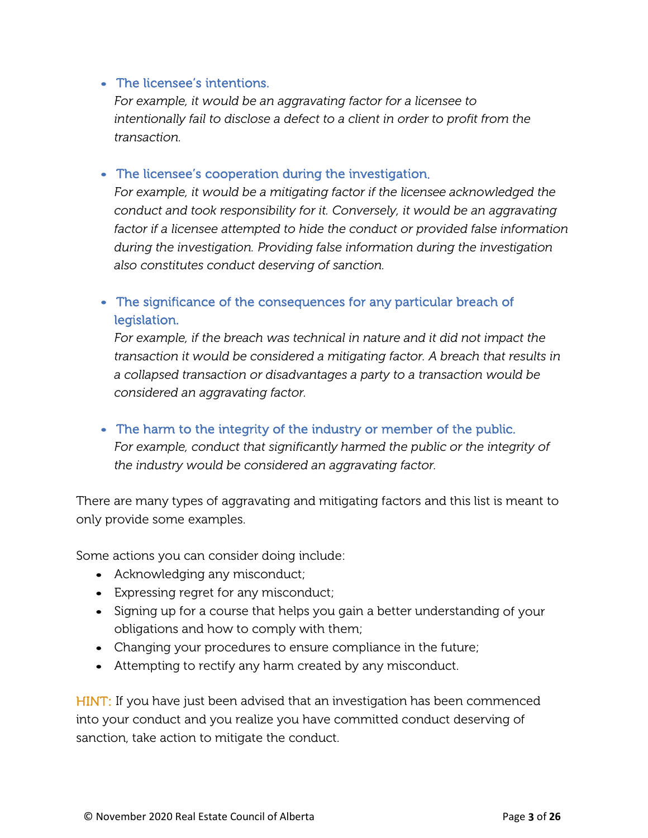#### • The licensee's intentions.

*For example, it would be an aggravating factor for a licensee to intentionally fail to disclose a defect to a client in order to profit from the transaction.*

• The licensee's cooperation during the investigation.

*For example, it would be a mitigating factor if the licensee acknowledged the conduct and took responsibility for it. Conversely, it would be an aggravating factor if a licensee attempted to hide the conduct or provided false information during the investigation. Providing false information during the investigation also constitutes conduct deserving of sanction.*

## • The significance of the consequences for any particular breach of legislation.

*For example, if the breach was technical in nature and it did not impact the transaction it would be considered a mitigating factor. A breach that results in a collapsed transaction or disadvantages a party to a transaction would be considered an aggravating factor.*

#### • The harm to the integrity of the industry or member of the public.

*For example, conduct that significantly harmed the public or the integrity of the industry would be considered an aggravating factor.*

There are many types of aggravating and mitigating factors and this list is meant to only provide some examples.

Some actions you can consider doing include:

- Acknowledging any misconduct;
- Expressing regret for any misconduct;
- Signing up for a course that helps you gain a better understanding of your obligations and how to comply with them;
- Changing your procedures to ensure compliance in the future;
- Attempting to rectify any harm created by any misconduct.

HINT: If you have just been advised that an investigation has been commenced into your conduct and you realize you have committed conduct deserving of sanction, take action to mitigate the conduct.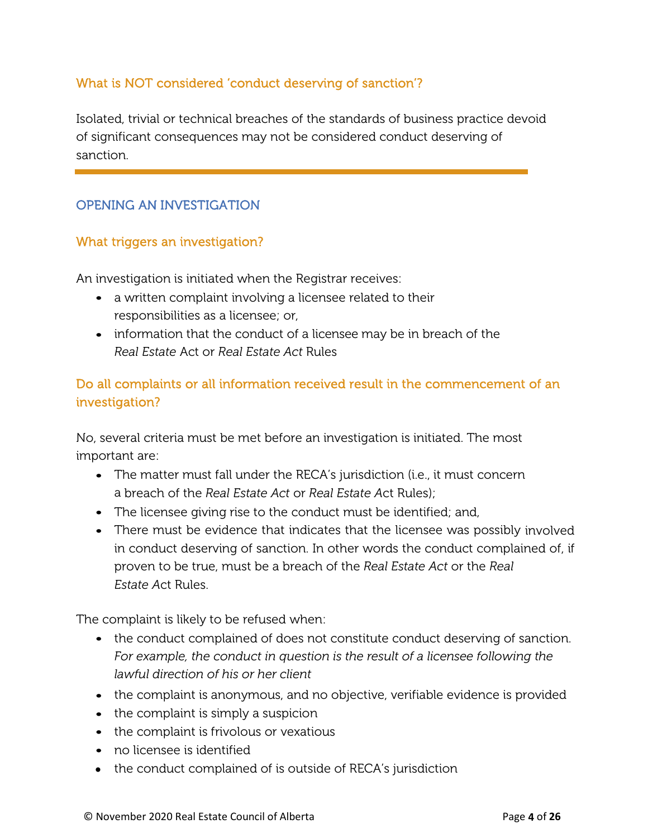### What is NOT considered 'conduct deserving of sanction'?

Isolated, trivial or technical breaches of the standards of business practice devoid of significant consequences may not be considered conduct deserving of sanction.

### OPENING AN INVESTIGATION

#### What triggers an investigation?

An investigation is initiated when the Registrar receives:

- a written complaint involving a licensee related to their responsibilities as a licensee; or,
- information that the conduct of a licensee may be in breach of the *Real Estate* Act or *Real Estate Act* Rules

## Do all complaints or all information received result in the commencement of an investigation?

No, several criteria must be met before an investigation is initiated. The most important are:

- The matter must fall under the RECA's jurisdiction (i.e., it must concern a breach of the *Real Estate Act* or *Real Estate A*ct Rules);
- The licensee giving rise to the conduct must be identified; and,
- There must be evidence that indicates that the licensee was possibly involved in conduct deserving of sanction. In other words the conduct complained of, if proven to be true, must be a breach of the *Real Estate Act* or the *Real Estate A*ct Rules.

The complaint is likely to be refused when:

- the conduct complained of does not constitute conduct deserving of sanction. *For example, the conduct in question is the result of a licensee following the lawful direction of his or her client*
- the complaint is anonymous, and no objective, verifiable evidence is provided
- the complaint is simply a suspicion
- the complaint is frivolous or vexatious
- no licensee is identified
- the conduct complained of is outside of RECA's jurisdiction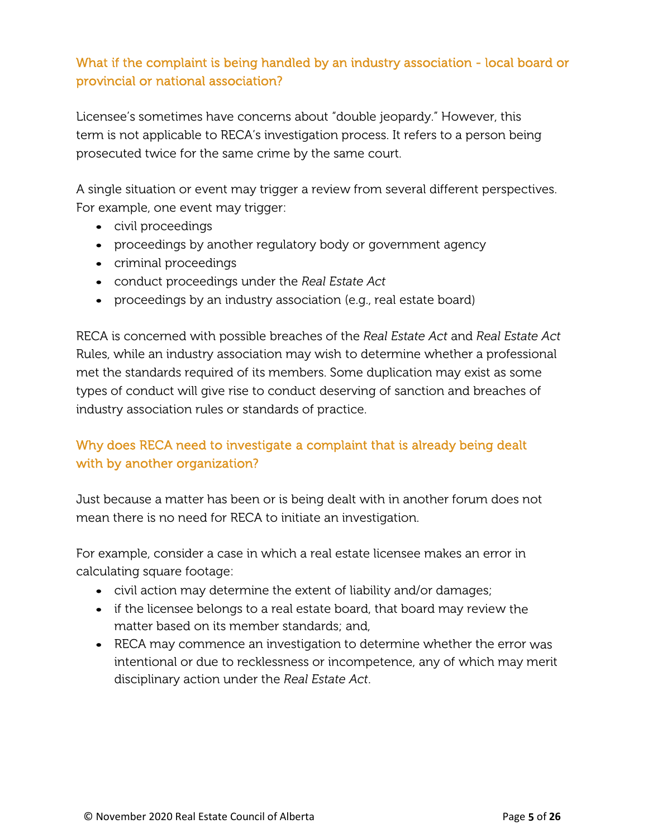# What if the complaint is being handled by an industry association - local board or provincial or national association?

Licensee's sometimes have concerns about "double jeopardy." However, this term is not applicable to RECA's investigation process. It refers to a person being prosecuted twice for the same crime by the same court.

A single situation or event may trigger a review from several different perspectives. For example, one event may trigger:

- civil proceedings
- proceedings by another regulatory body or government agency
- criminal proceedings
- conduct proceedings under the *Real Estate Act*
- proceedings by an industry association (e.g., real estate board)

RECA is concerned with possible breaches of the *Real Estate Act* and *Real Estate Act*  Rules, while an industry association may wish to determine whether a professional met the standards required of its members. Some duplication may exist as some types of conduct will give rise to conduct deserving of sanction and breaches of industry association rules or standards of practice.

# Why does RECA need to investigate a complaint that is already being dealt with by another organization?

Just because a matter has been or is being dealt with in another forum does not mean there is no need for RECA to initiate an investigation.

For example, consider a case in which a real estate licensee makes an error in calculating square footage:

- civil action may determine the extent of liability and/or damages;
- if the licensee belongs to a real estate board, that board may review the matter based on its member standards; and,
- RECA may commence an investigation to determine whether the error was intentional or due to recklessness or incompetence, any of which may merit disciplinary action under the *Real Estate Act*.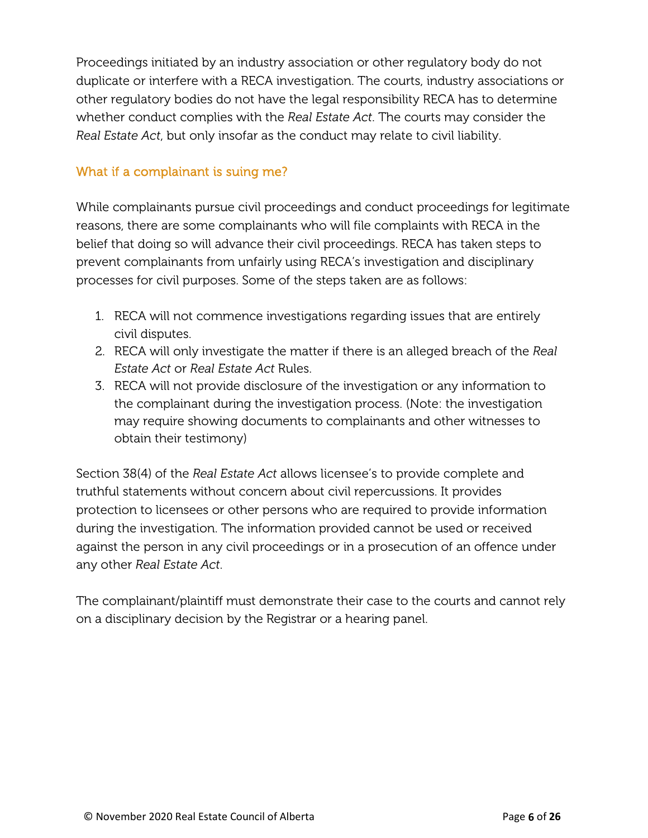Proceedings initiated by an industry association or other regulatory body do not duplicate or interfere with a RECA investigation. The courts, industry associations or other regulatory bodies do not have the legal responsibility RECA has to determine whether conduct complies with the *Real Estate Act*. The courts may consider the *Real Estate Act*, but only insofar as the conduct may relate to civil liability.

#### What if a complainant is suing me?

While complainants pursue civil proceedings and conduct proceedings for legitimate reasons, there are some complainants who will file complaints with RECA in the belief that doing so will advance their civil proceedings. RECA has taken steps to prevent complainants from unfairly using RECA's investigation and disciplinary processes for civil purposes. Some of the steps taken are as follows:

- 1. RECA will not commence investigations regarding issues that are entirely civil disputes.
- 2. RECA will only investigate the matter if there is an alleged breach of the *Real Estate Act* or *Real Estate Act* Rules.
- 3. RECA will not provide disclosure of the investigation or any information to the complainant during the investigation process. (Note: the investigation may require showing documents to complainants and other witnesses to obtain their testimony)

Section 38(4) of the *Real Estate Act* allows licensee's to provide complete and truthful statements without concern about civil repercussions. It provides protection to licensees or other persons who are required to provide information during the investigation. The information provided cannot be used or received against the person in any civil proceedings or in a prosecution of an offence under any other *Real Estate Act*.

The complainant/plaintiff must demonstrate their case to the courts and cannot rely on a disciplinary decision by the Registrar or a hearing panel.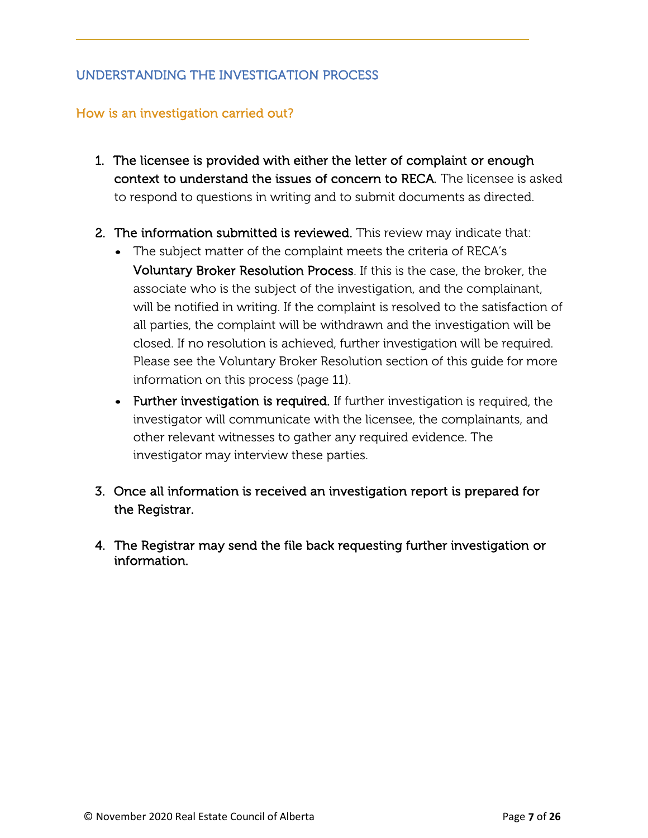### UNDERSTANDING THE INVESTIGATION PROCESS

#### How is an investigation carried out?

- 1. The licensee is provided with either the letter of complaint or enough context to understand the issues of concern to RECA. The licensee is asked to respond to questions in writing and to submit documents as directed.
- 2. The information submitted is reviewed. This review may indicate that:
	- The subject matter of the complaint meets the criteria of RECA's Voluntary Broker Resolution Process. If this is the case, the broker, the associate who is the subject of the investigation, and the complainant, will be notified in writing. If the complaint is resolved to the satisfaction of all parties, the complaint will be withdrawn and the investigation will be closed. If no resolution is achieved, further investigation will be required. Please see the Voluntary Broker Resolution section of this guide for more information on this process (page 11).
	- Further investigation is required. If further investigation is required, the investigator will communicate with the licensee, the complainants, and other relevant witnesses to gather any required evidence. The investigator may interview these parties.
- 3. Once all information is received an investigation report is prepared for the Registrar.
- 4. The Registrar may send the file back requesting further investigation or information.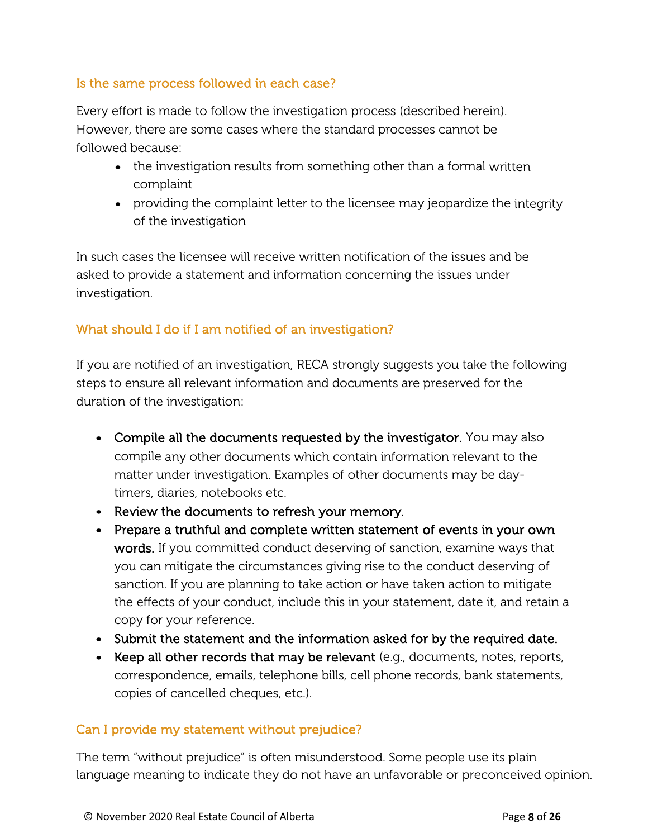### Is the same process followed in each case?

Every effort is made to follow the investigation process (described herein). However, there are some cases where the standard processes cannot be followed because:

- the investigation results from something other than a formal written complaint
- providing the complaint letter to the licensee may jeopardize the integrity of the investigation

In such cases the licensee will receive written notification of the issues and be asked to provide a statement and information concerning the issues under investigation.

## What should I do if I am notified of an investigation?

If you are notified of an investigation, RECA strongly suggests you take the following steps to ensure all relevant information and documents are preserved for the duration of the investigation:

- Compile all the documents requested by the investigator. You may also compile any other documents which contain information relevant to the matter under investigation. Examples of other documents may be daytimers, diaries, notebooks etc.
- Review the documents to refresh your memory.
- Prepare a truthful and complete written statement of events in your own words. If you committed conduct deserving of sanction, examine ways that you can mitigate the circumstances giving rise to the conduct deserving of sanction. If you are planning to take action or have taken action to mitigate the effects of your conduct, include this in your statement, date it, and retain a copy for your reference.
- Submit the statement and the information asked for by the required date.
- Keep all other records that may be relevant (e.g., documents, notes, reports, correspondence, emails, telephone bills, cell phone records, bank statements, copies of cancelled cheques, etc.).

### Can I provide my statement without prejudice?

The term "without prejudice" is often misunderstood. Some people use its plain language meaning to indicate they do not have an unfavorable or preconceived opinion.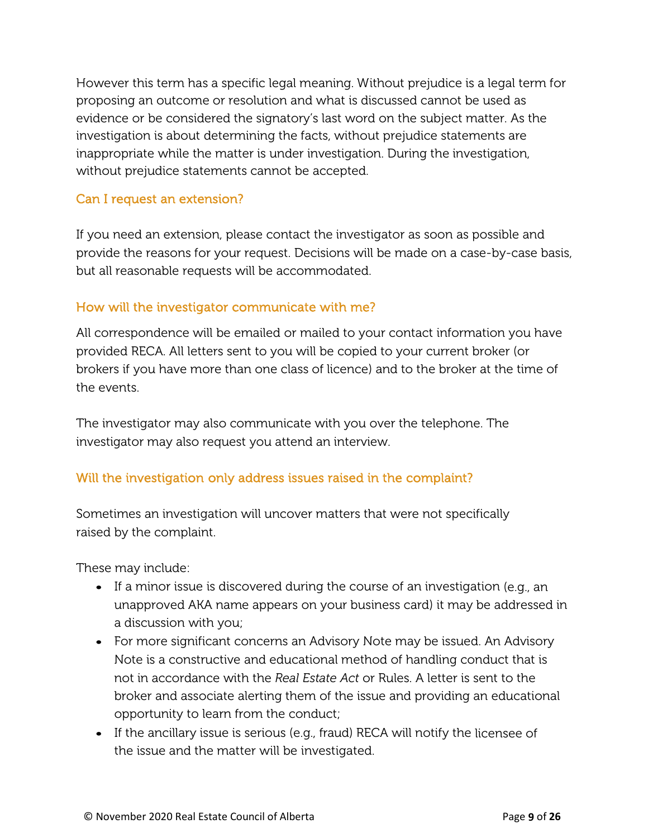However this term has a specific legal meaning. Without prejudice is a legal term for proposing an outcome or resolution and what is discussed cannot be used as evidence or be considered the signatory's last word on the subject matter. As the investigation is about determining the facts, without prejudice statements are inappropriate while the matter is under investigation. During the investigation, without prejudice statements cannot be accepted.

#### Can I request an extension?

If you need an extension, please contact the investigator as soon as possible and provide the reasons for your request. Decisions will be made on a case-by-case basis, but all reasonable requests will be accommodated.

#### How will the investigator communicate with me?

All correspondence will be emailed or mailed to your contact information you have provided RECA. All letters sent to you will be copied to your current broker (or brokers if you have more than one class of licence) and to the broker at the time of the events.

The investigator may also communicate with you over the telephone. The investigator may also request you attend an interview.

### Will the investigation only address issues raised in the complaint?

Sometimes an investigation will uncover matters that were not specifically raised by the complaint.

These may include:

- If a minor issue is discovered during the course of an investigation (e.g., an unapproved AKA name appears on your business card) it may be addressed in a discussion with you;
- For more significant concerns an Advisory Note may be issued. An Advisory Note is a constructive and educational method of handling conduct that is not in accordance with the *Real Estate Act* or Rules. A letter is sent to the broker and associate alerting them of the issue and providing an educational opportunity to learn from the conduct;
- If the ancillary issue is serious (e.g., fraud) RECA will notify the licensee of the issue and the matter will be investigated.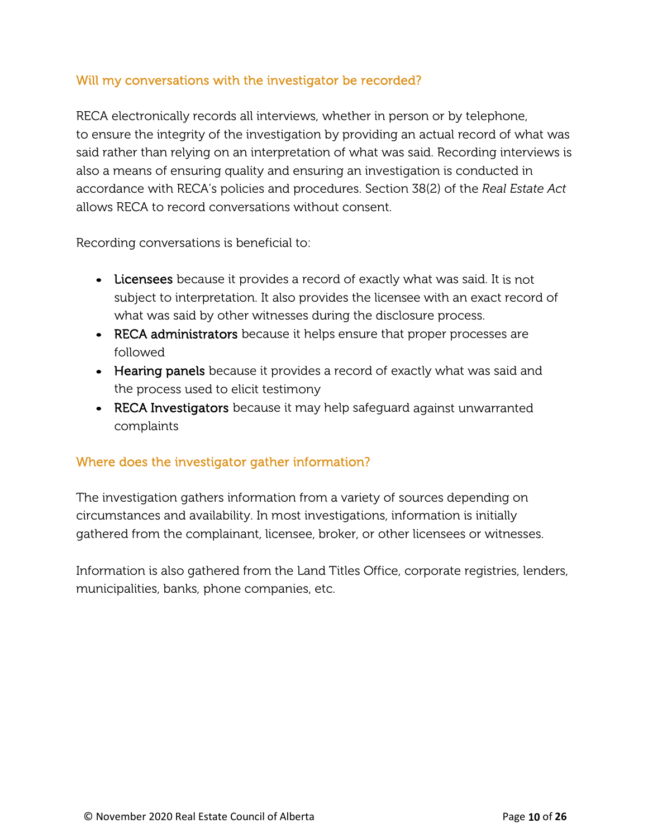#### Will my conversations with the investigator be recorded?

RECA electronically records all interviews, whether in person or by telephone, to ensure the integrity of the investigation by providing an actual record of what was said rather than relying on an interpretation of what was said. Recording interviews is also a means of ensuring quality and ensuring an investigation is conducted in accordance with RECA's policies and procedures. Section 38(2) of the *Real Estate Act* allows RECA to record conversations without consent.

Recording conversations is beneficial to:

- Licensees because it provides a record of exactly what was said. It is not subject to interpretation. It also provides the licensee with an exact record of what was said by other witnesses during the disclosure process.
- RECA administrators because it helps ensure that proper processes are followed
- Hearing panels because it provides a record of exactly what was said and the process used to elicit testimony
- RECA Investigators because it may help safeguard against unwarranted complaints

### Where does the investigator gather information?

The investigation gathers information from a variety of sources depending on circumstances and availability. In most investigations, information is initially gathered from the complainant, licensee, broker, or other licensees or witnesses.

Information is also gathered from the Land Titles Office, corporate registries, lenders, municipalities, banks, phone companies, etc.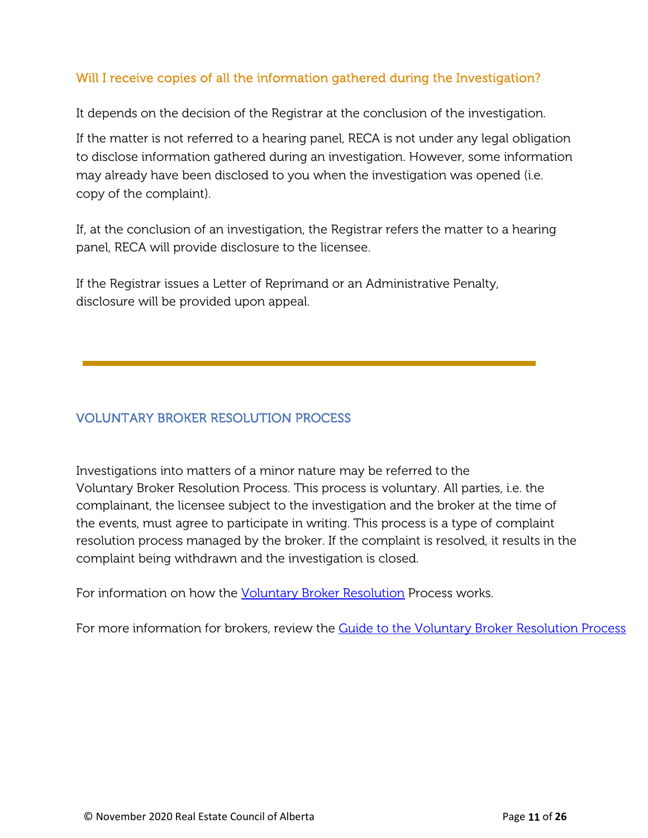#### Will I receive copies of all the information gathered during the Investigation?

It depends on the decision of the Registrar at the conclusion of the investigation.

If the matter is not referred to a hearing panel, RECA is not under any legal obligation to disclose information gathered during an investigation. However, some information may already have been disclosed to you when the investigation was opened (i.e. copy of the complaint).

If, at the conclusion of an investigation, the Registrar refers the matter to a hearing panel, RECA will provide disclosure to the licensee.

If the Registrar issues a Letter of Reprimand or an Administrative Penalty, disclosure will be provided upon appeal.

### VOLUNTARY BROKER RESOLUTION PROCESS

Investigations into matters of a minor nature may be referred to the Voluntary Broker Resolution Process. This process is voluntary. All parties, i.e. the complainant, the licensee subject to the investigation and the broker at the time of the events, must agree to participate in writing. This process is a type of complaint resolution process managed by the broker. If the complaint is resolved, it results in the complaint being withdrawn and the investigation is closed.

For information on how the **Voluntary Broker Resolution** Process works.

For more information for brokers, review the **Guide to the Voluntary Broker Resolution Process**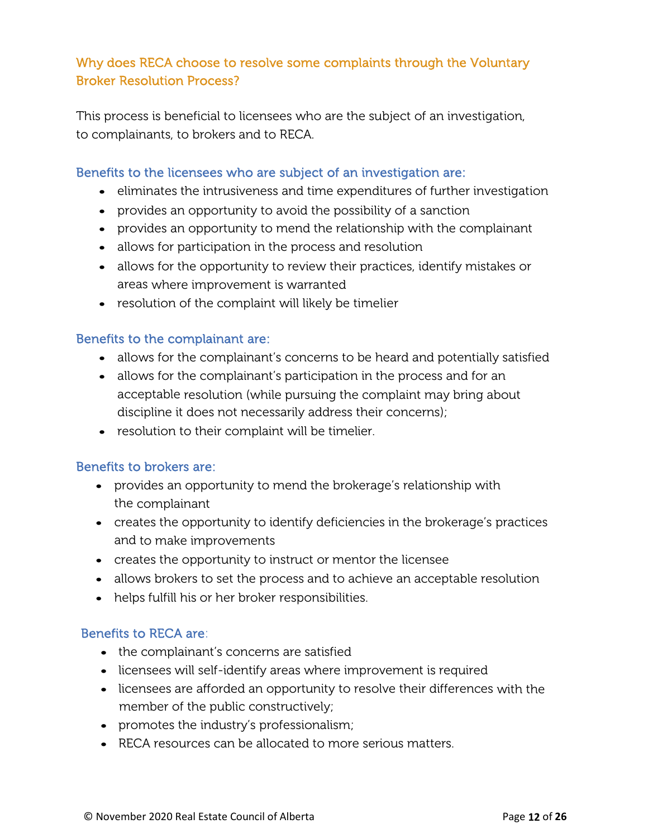## Why does RECA choose to resolve some complaints through the Voluntary Broker Resolution Process?

This process is beneficial to licensees who are the subject of an investigation, to complainants, to brokers and to RECA.

#### Benefits to the licensees who are subject of an investigation are:

- eliminates the intrusiveness and time expenditures of further investigation
- provides an opportunity to avoid the possibility of a sanction
- provides an opportunity to mend the relationship with the complainant
- allows for participation in the process and resolution
- allows for the opportunity to review their practices, identify mistakes or areas where improvement is warranted
- resolution of the complaint will likely be timelier

#### Benefits to the complainant are:

- allows for the complainant's concerns to be heard and potentially satisfied
- allows for the complainant's participation in the process and for an acceptable resolution (while pursuing the complaint may bring about discipline it does not necessarily address their concerns);
- resolution to their complaint will be timelier.

#### Benefits to brokers are:

- provides an opportunity to mend the brokerage's relationship with the complainant
- creates the opportunity to identify deficiencies in the brokerage's practices and to make improvements
- creates the opportunity to instruct or mentor the licensee
- allows brokers to set the process and to achieve an acceptable resolution
- helps fulfill his or her broker responsibilities.

#### Benefits to RECA are:

- the complainant's concerns are satisfied
- licensees will self-identify areas where improvement is required
- licensees are afforded an opportunity to resolve their differences with the member of the public constructively;
- promotes the industry's professionalism;
- RECA resources can be allocated to more serious matters.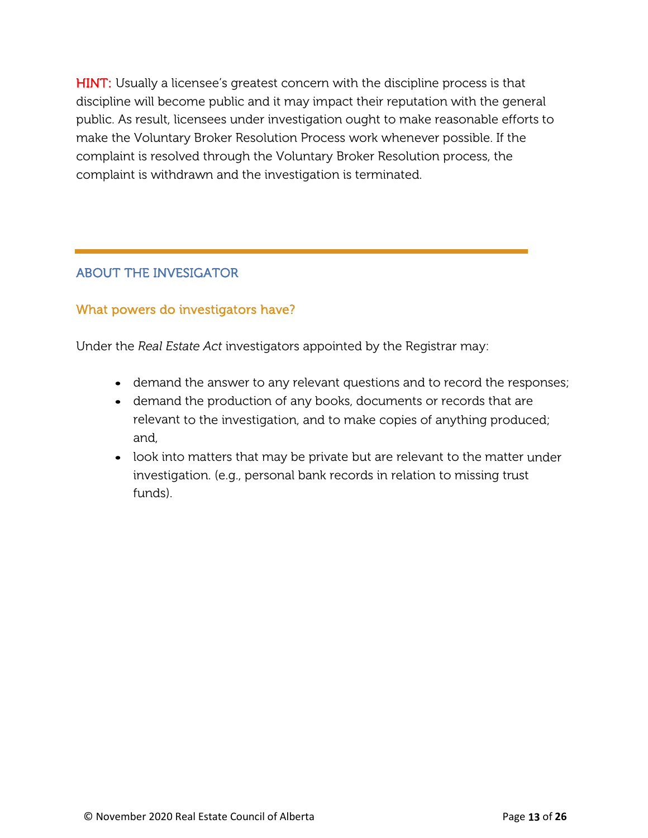**HINT:** Usually a licensee's greatest concern with the discipline process is that discipline will become public and it may impact their reputation with the general public. As result, licensees under investigation ought to make reasonable efforts to make the Voluntary Broker Resolution Process work whenever possible. If the complaint is resolved through the Voluntary Broker Resolution process, the complaint is withdrawn and the investigation is terminated.

# ABOUT THE INVESIGATOR

#### What powers do investigators have?

Under the *Real Estate Act* investigators appointed by the Registrar may:

- demand the answer to any relevant questions and to record the responses;
- demand the production of any books, documents or records that are relevant to the investigation, and to make copies of anything produced; and,
- look into matters that may be private but are relevant to the matter under investigation. (e.g., personal bank records in relation to missing trust funds).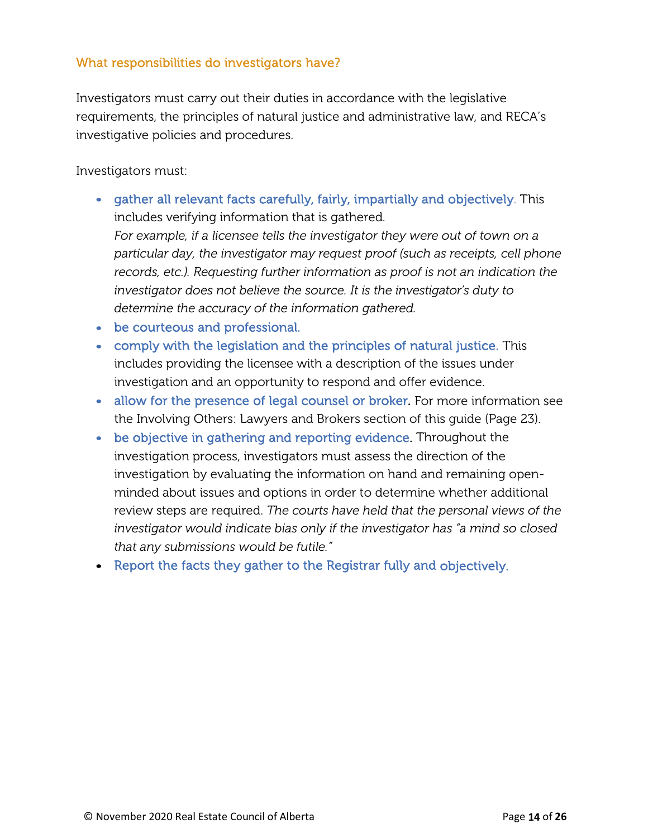#### What responsibilities do investigators have?

Investigators must carry out their duties in accordance with the legislative requirements, the principles of natural justice and administrative law, and RECA's investigative policies and procedures.

Investigators must:

- gather all relevant facts carefully, fairly, impartially and objectively. This includes verifying information that is gathered. *For example, if a licensee tells the investigator they were out of town on a particular day, the investigator may request proof (such as receipts, cell phone records, etc.). Requesting further information as proof is not an indication the investigator does not believe the source. It is the investigator's duty to determine the accuracy of the information gathered.*
- be courteous and professional.
- comply with the legislation and the principles of natural justice. This includes providing the licensee with a description of the issues under investigation and an opportunity to respond and offer evidence.
- allow for the presence of legal counsel or broker. For more information see the Involving Others: Lawyers and Brokers section of this guide (Page 23).
- be objective in gathering and reporting evidence. Throughout the investigation process, investigators must assess the direction of the investigation by evaluating the information on hand and remaining openminded about issues and options in order to determine whether additional review steps are required. *The courts have held that the personal views of the investigator would indicate bias only if the investigator has "a mind so closed that any submissions would be futile."*
- Report the facts they gather to the Registrar fully and objectively.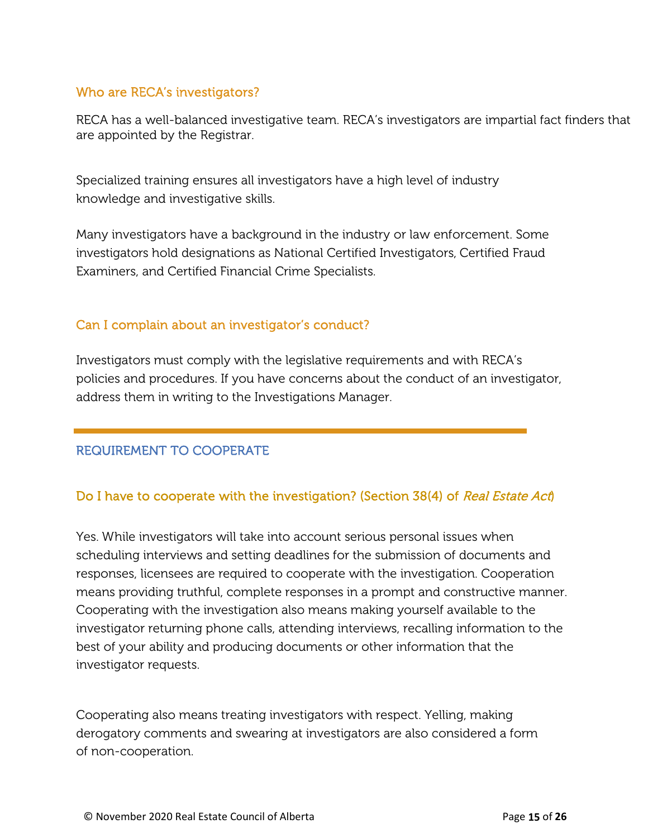#### Who are RECA's investigators?

RECA has a well-balanced investigative team. RECA's investigators are impartial fact finders that are appointed by the Registrar.

Specialized training ensures all investigators have a high level of industry knowledge and investigative skills.

Many investigators have a background in the industry or law enforcement. Some investigators hold designations as National Certified Investigators, Certified Fraud Examiners, and Certified Financial Crime Specialists.

#### Can I complain about an investigator's conduct?

Investigators must comply with the legislative requirements and with RECA's policies and procedures. If you have concerns about the conduct of an investigator, address them in writing to the Investigations Manager.

### REQUIREMENT TO COOPERATE

#### Do I have to cooperate with the investigation? (Section 38(4) of Real Estate Act)

Yes. While investigators will take into account serious personal issues when scheduling interviews and setting deadlines for the submission of documents and responses, licensees are required to cooperate with the investigation. Cooperation means providing truthful, complete responses in a prompt and constructive manner. Cooperating with the investigation also means making yourself available to the investigator returning phone calls, attending interviews, recalling information to the best of your ability and producing documents or other information that the investigator requests.

Cooperating also means treating investigators with respect. Yelling, making derogatory comments and swearing at investigators are also considered a form of non-cooperation.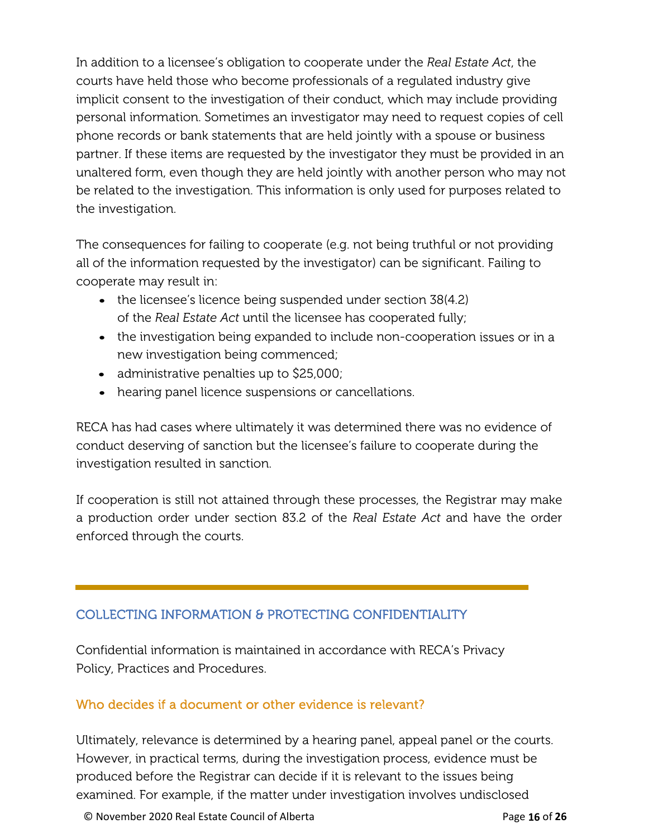In addition to a licensee's obligation to cooperate under the *Real Estate Act*, the courts have held those who become professionals of a regulated industry give implicit consent to the investigation of their conduct, which may include providing personal information. Sometimes an investigator may need to request copies of cell phone records or bank statements that are held jointly with a spouse or business partner. If these items are requested by the investigator they must be provided in an unaltered form, even though they are held jointly with another person who may not be related to the investigation. This information is only used for purposes related to the investigation.

The consequences for failing to cooperate (e.g. not being truthful or not providing all of the information requested by the investigator) can be significant. Failing to cooperate may result in:

- the licensee's licence being suspended under section 38(4.2) of the *Real Estate Act* until the licensee has cooperated fully;
- the investigation being expanded to include non-cooperation issues or in a new investigation being commenced;
- administrative penalties up to \$25,000;
- hearing panel licence suspensions or cancellations.

RECA has had cases where ultimately it was determined there was no evidence of conduct deserving of sanction but the licensee's failure to cooperate during the investigation resulted in sanction.

If cooperation is still not attained through these processes, the Registrar may make a production order under section 83.2 of the *Real Estate Act* and have the order enforced through the courts.

# COLLECTING INFORMATION & PROTECTING CONFIDENTIALITY

Confidential information is maintained in accordance with RECA's Privacy Policy, Practices and Procedures.

### Who decides if a document or other evidence is relevant?

Ultimately, relevance is determined by a hearing panel, appeal panel or the courts. However, in practical terms, during the investigation process, evidence must be produced before the Registrar can decide if it is relevant to the issues being examined. For example, if the matter under investigation involves undisclosed

© November 2020 Real Estate Council of Alberta Page **16** of **26**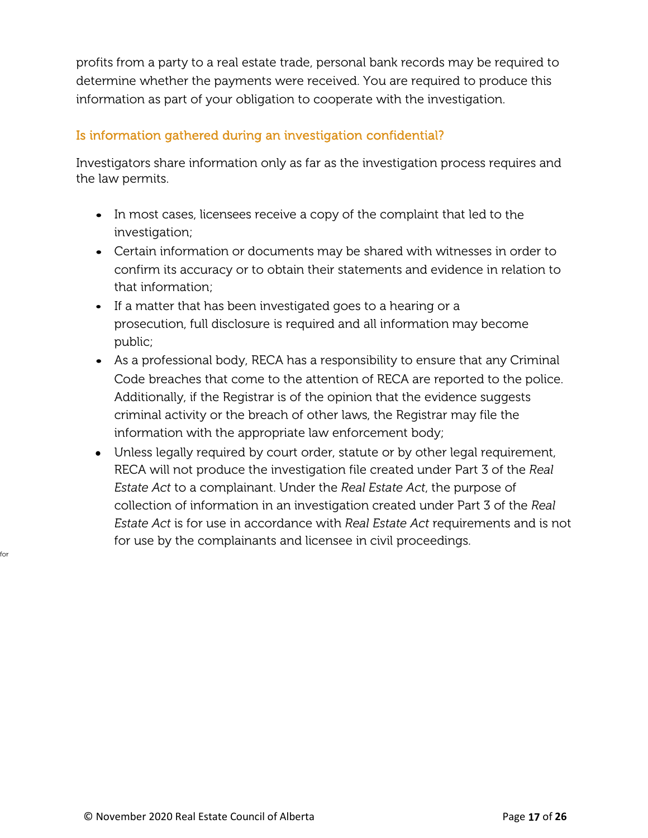profits from a party to a real estate trade, personal bank records may be required to determine whether the payments were received. You are required to produce this information as part of your obligation to cooperate with the investigation.

#### Is information gathered during an investigation confidential?

Investigators share information only as far as the investigation process requires and the law permits.

- In most cases, licensees receive a copy of the complaint that led to the investigation;
- Certain information or documents may be shared with witnesses in order to confirm its accuracy or to obtain their statements and evidence in relation to that information;
- If a matter that has been investigated goes to a hearing or a prosecution, full disclosure is required and all information may become public;
- As a professional body, RECA has a responsibility to ensure that any Criminal Code breaches that come to the attention of RECA are reported to the police. Additionally, if the Registrar is of the opinion that the evidence suggests criminal activity or the breach of other laws, the Registrar may file the information with the appropriate law enforcement body;
- Unless legally required by court order, statute or by other legal requirement, RECA will not produce the investigation file created under Part 3 of the *Real Estate Act* to a complainant. Under the *Real Estate Act*, the purpose of collection of information in an investigation created under Part 3 of the *Real Estate Act* is for use in accordance with *Real Estate Act* requirements and is not for use by the complainants and licensee in civil proceedings.

for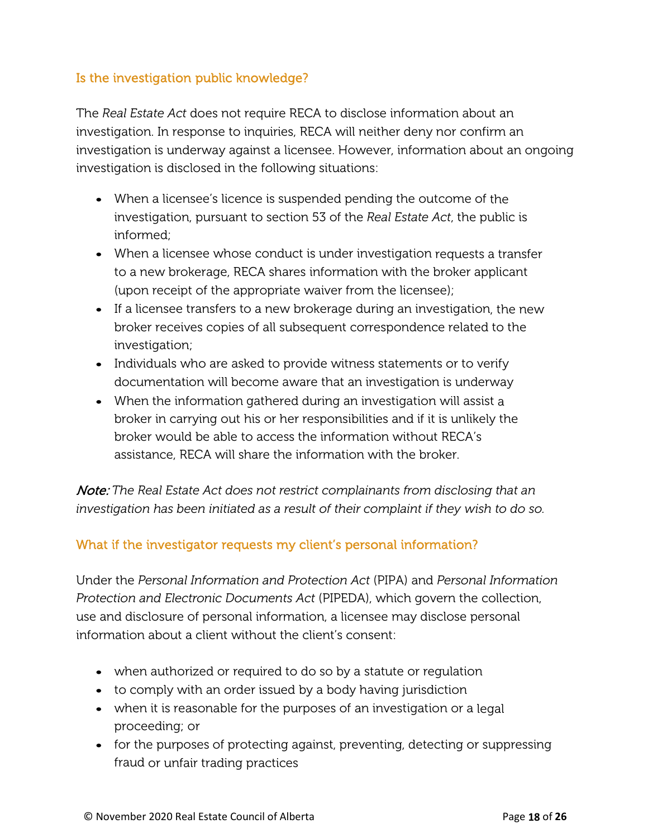#### Is the investigation public knowledge?

The *Real Estate Act* does not require RECA to disclose information about an investigation. In response to inquiries, RECA will neither deny nor confirm an investigation is underway against a licensee. However, information about an ongoing investigation is disclosed in the following situations:

- When a licensee's licence is suspended pending the outcome of the investigation, pursuant to section 53 of the *Real Estate Act*, the public is informed;
- When a licensee whose conduct is under investigation requests a transfer to a new brokerage, RECA shares information with the broker applicant (upon receipt of the appropriate waiver from the licensee);
- If a licensee transfers to a new brokerage during an investigation, the new broker receives copies of all subsequent correspondence related to the investigation;
- Individuals who are asked to provide witness statements or to verify documentation will become aware that an investigation is underway
- When the information gathered during an investigation will assist a broker in carrying out his or her responsibilities and if it is unlikely the broker would be able to access the information without RECA's assistance, RECA will share the information with the broker.

Note: *The Real Estate Act does not restrict complainants from disclosing that an investigation has been initiated as a result of their complaint if they wish to do so.*

### What if the investigator requests my client's personal information?

Under the *Personal Information and Protection Act* (PIPA) and *Personal Information Protection and Electronic Documents Act* (PIPEDA), which govern the collection, use and disclosure of personal information, a licensee may disclose personal information about a client without the client's consent:

- when authorized or required to do so by a statute or regulation
- to comply with an order issued by a body having jurisdiction
- when it is reasonable for the purposes of an investigation or a legal proceeding; or
- for the purposes of protecting against, preventing, detecting or suppressing fraud or unfair trading practices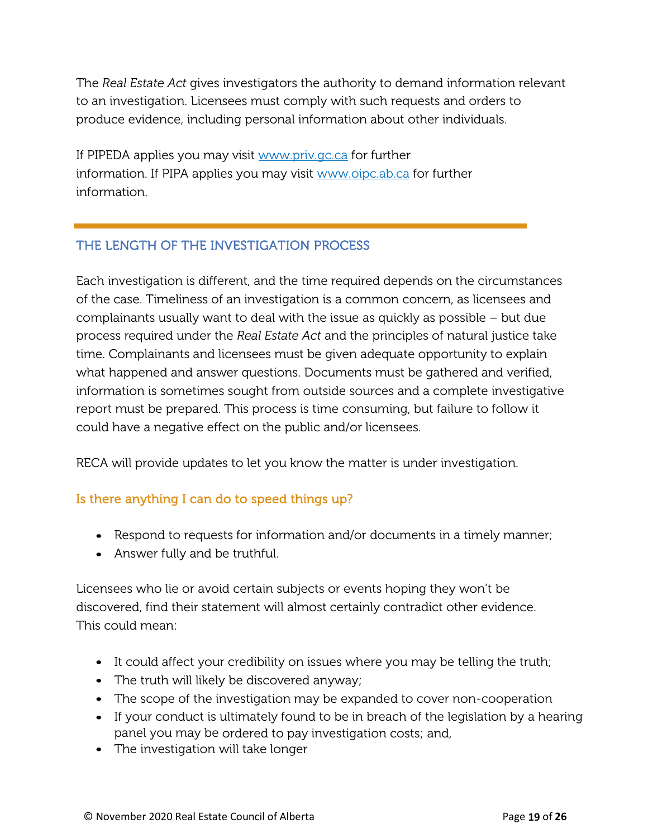The *Real Estate Act* gives investigators the authority to demand information relevant to an investigation. Licensees must comply with such requests and orders to produce evidence, including personal information about other individuals.

If PIPEDA applies you may visit [www.priv.gc.ca](http://www.priv.gc.ca/) for further information. If PIPA applies you may visit [www.oipc.ab.ca](http://www.oipc.ab.ca/) for further information.

## THE LENGTH OF THE INVESTIGATION PROCESS

Each investigation is different, and the time required depends on the circumstances of the case. Timeliness of an investigation is a common concern, as licensees and complainants usually want to deal with the issue as quickly as possible – but due process required under the *Real Estate Act* and the principles of natural justice take time. Complainants and licensees must be given adequate opportunity to explain what happened and answer questions. Documents must be gathered and verified, information is sometimes sought from outside sources and a complete investigative report must be prepared. This process is time consuming, but failure to follow it could have a negative effect on the public and/or licensees.

RECA will provide updates to let you know the matter is under investigation.

### Is there anything I can do to speed things up?

- Respond to requests for information and/or documents in a timely manner;
- Answer fully and be truthful.

Licensees who lie or avoid certain subjects or events hoping they won't be discovered, find their statement will almost certainly contradict other evidence. This could mean:

- It could affect your credibility on issues where you may be telling the truth;
- The truth will likely be discovered anyway;
- The scope of the investigation may be expanded to cover non-cooperation
- If your conduct is ultimately found to be in breach of the legislation by a hearing panel you may be ordered to pay investigation costs; and,
- The investigation will take longer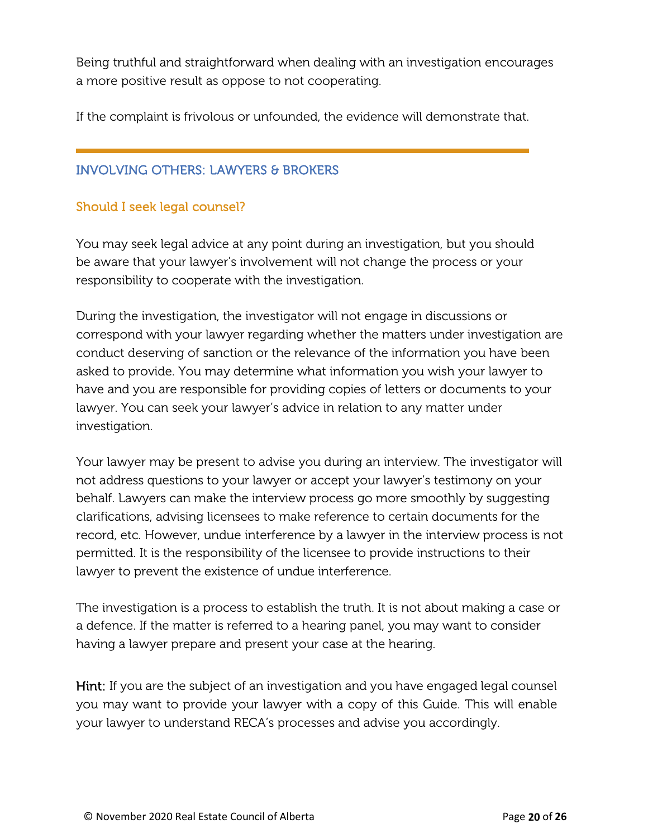Being truthful and straightforward when dealing with an investigation encourages a more positive result as oppose to not cooperating.

If the complaint is frivolous or unfounded, the evidence will demonstrate that.

#### INVOLVING OTHERS: LAWYERS & BROKERS

#### Should I seek legal counsel?

You may seek legal advice at any point during an investigation, but you should be aware that your lawyer's involvement will not change the process or your responsibility to cooperate with the investigation.

During the investigation, the investigator will not engage in discussions or correspond with your lawyer regarding whether the matters under investigation are conduct deserving of sanction or the relevance of the information you have been asked to provide. You may determine what information you wish your lawyer to have and you are responsible for providing copies of letters or documents to your lawyer. You can seek your lawyer's advice in relation to any matter under investigation.

Your lawyer may be present to advise you during an interview. The investigator will not address questions to your lawyer or accept your lawyer's testimony on your behalf. Lawyers can make the interview process go more smoothly by suggesting clarifications, advising licensees to make reference to certain documents for the record, etc. However, undue interference by a lawyer in the interview process is not permitted. It is the responsibility of the licensee to provide instructions to their lawyer to prevent the existence of undue interference.

The investigation is a process to establish the truth. It is not about making a case or a defence. If the matter is referred to a hearing panel, you may want to consider having a lawyer prepare and present your case at the hearing.

Hint: If you are the subject of an investigation and you have engaged legal counsel you may want to provide your lawyer with a copy of this Guide. This will enable your lawyer to understand RECA's processes and advise you accordingly.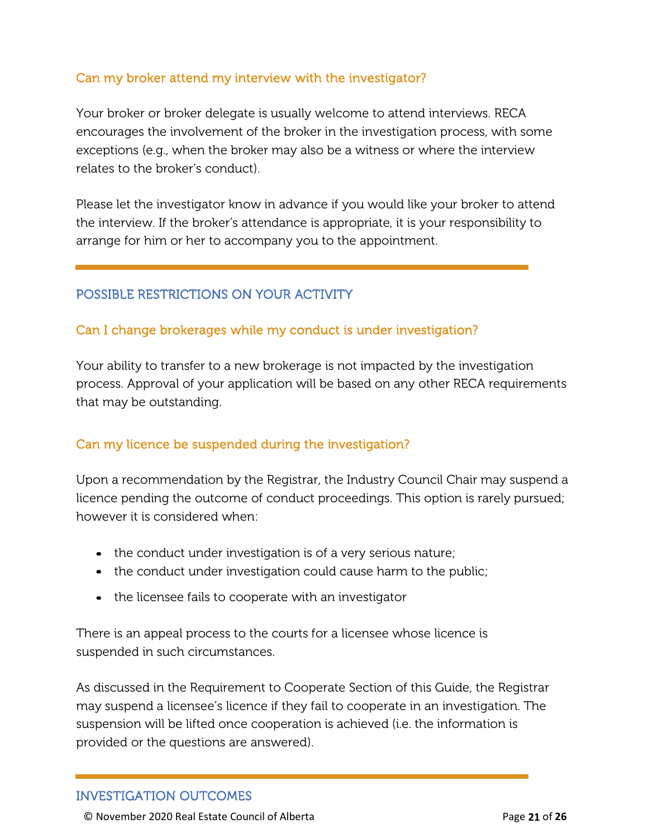#### Can my broker attend my interview with the investigator?

Your broker or broker delegate is usually welcome to attend interviews. RECA encourages the involvement of the broker in the investigation process, with some exceptions (e.g., when the broker may also be a witness or where the interview relates to the broker's conduct).

Please let the investigator know in advance if you would like your broker to attend the interview. If the broker's attendance is appropriate, it is your responsibility to arrange for him or her to accompany you to the appointment.

#### POSSIBLE RESTRICTIONS ON YOUR ACTIVITY

#### Can I change brokerages while my conduct is under investigation?

Your ability to transfer to a new brokerage is not impacted by the investigation process. Approval of your application will be based on any other RECA requirements that may be outstanding.

#### Can my licence be suspended during the investigation?

Upon a recommendation by the Registrar, the Industry Council Chair may suspend a licence pending the outcome of conduct proceedings. This option is rarely pursued; however it is considered when:

- the conduct under investigation is of a very serious nature;
- the conduct under investigation could cause harm to the public;
- the licensee fails to cooperate with an investigator

There is an appeal process to the courts for a licensee whose licence is suspended in such circumstances.

As discussed in the Requirement to Cooperate Section of this Guide, the Registrar may suspend a licensee's licence if they fail to cooperate in an investigation. The suspension will be lifted once cooperation is achieved (i.e. the information is provided or the questions are answered).

#### INVESTIGATION OUTCOMES

© November 2020 Real Estate Council of Alberta Page **21** of **26**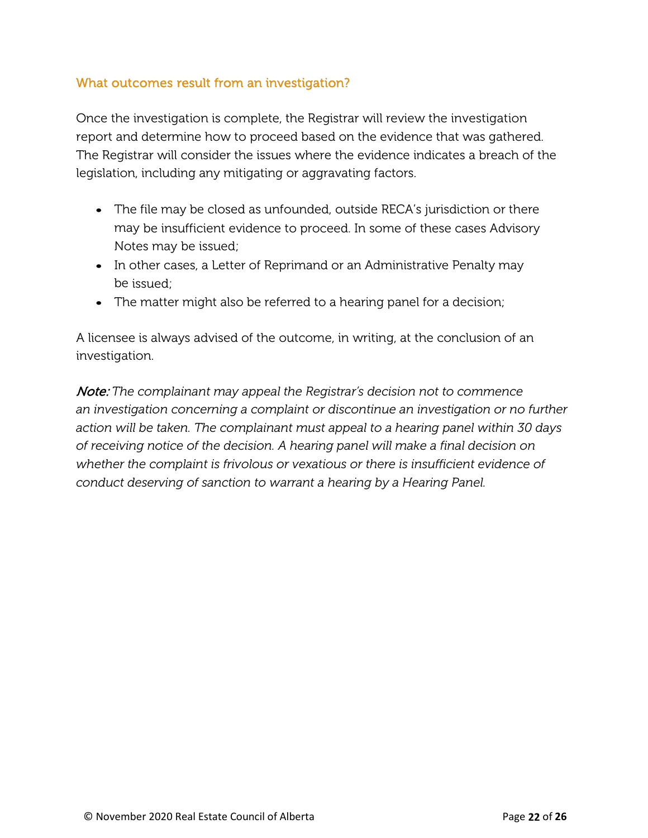#### What outcomes result from an investigation?

Once the investigation is complete, the Registrar will review the investigation report and determine how to proceed based on the evidence that was gathered. The Registrar will consider the issues where the evidence indicates a breach of the legislation, including any mitigating or aggravating factors.

- The file may be closed as unfounded, outside RECA's jurisdiction or there may be insufficient evidence to proceed. In some of these cases Advisory Notes may be issued;
- In other cases, a Letter of Reprimand or an Administrative Penalty may be issued;
- The matter might also be referred to a hearing panel for a decision;

A licensee is always advised of the outcome, in writing, at the conclusion of an investigation.

Note: *The complainant may appeal the Registrar's decision not to commence an investigation concerning a complaint or discontinue an investigation or no further action will be taken. The complainant must appeal to a hearing panel within 30 days of receiving notice of the decision. A hearing panel will make a final decision on whether the complaint is frivolous or vexatious or there is insufficient evidence of conduct deserving of sanction to warrant a hearing by a Hearing Panel.*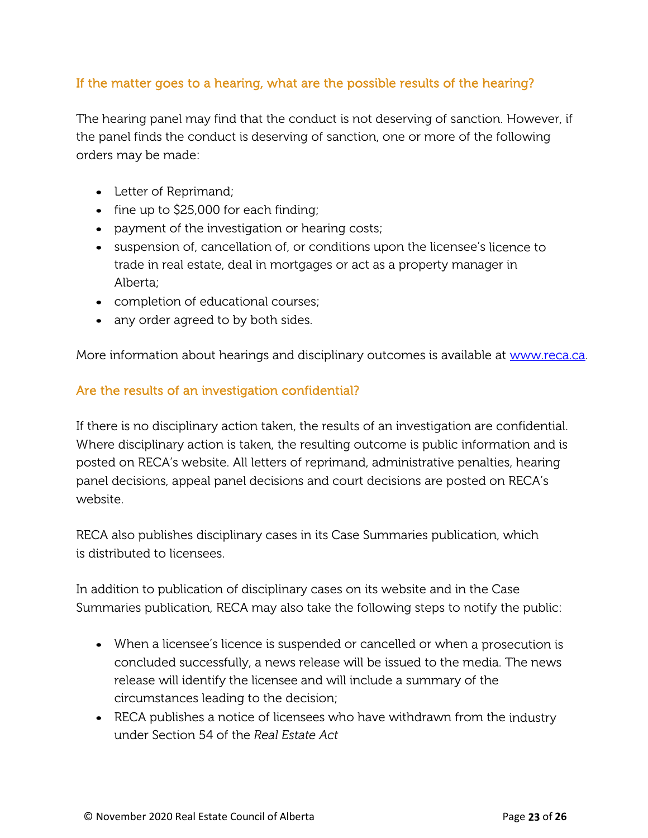### If the matter goes to a hearing, what are the possible results of the hearing?

The hearing panel may find that the conduct is not deserving of sanction. However, if the panel finds the conduct is deserving of sanction, one or more of the following orders may be made:

- Letter of Reprimand;
- fine up to \$25,000 for each finding;
- payment of the investigation or hearing costs;
- suspension of, cancellation of, or conditions upon the licensee's licence to trade in real estate, deal in mortgages or act as a property manager in Alberta;
- completion of educational courses;
- any order agreed to by both sides.

More information about hearings and disciplinary outcomes is available at [www.reca.ca.](http://www.reca.ca/)

#### Are the results of an investigation confidential?

If there is no disciplinary action taken, the results of an investigation are confidential. Where disciplinary action is taken, the resulting outcome is public information and is posted on RECA's website. All letters of reprimand, administrative penalties, hearing panel decisions, appeal panel decisions and court decisions are posted on RECA's website.

RECA also publishes disciplinary cases in its Case Summaries publication, which is distributed to licensees.

In addition to publication of disciplinary cases on its website and in the Case Summaries publication, RECA may also take the following steps to notify the public:

- When a licensee's licence is suspended or cancelled or when a prosecution is concluded successfully, a news release will be issued to the media. The news release will identify the licensee and will include a summary of the circumstances leading to the decision;
- RECA publishes a notice of licensees who have withdrawn from the industry under Section 54 of the *Real Estate Act*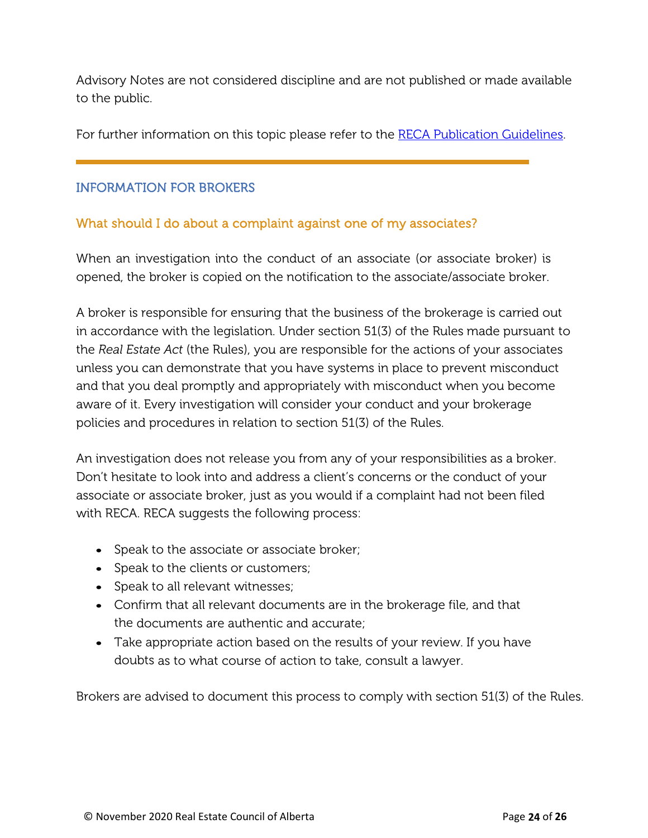Advisory Notes are not considered discipline and are not published or made available to the public.

For further information on this topic please refer to the RECA [Publication](http://www.reca.ca/industry/content/publications-resources/real-estate-council-publication-guidelines.htm) Guidelines.

### INFORMATION FOR BROKERS

#### What should I do about a complaint against one of my associates?

When an investigation into the conduct of an associate (or associate broker) is opened, the broker is copied on the notification to the associate/associate broker.

A broker is responsible for ensuring that the business of the brokerage is carried out in accordance with the legislation. Under section 51(3) of the Rules made pursuant to the *Real Estate Act* (the Rules), you are responsible for the actions of your associates unless you can demonstrate that you have systems in place to prevent misconduct and that you deal promptly and appropriately with misconduct when you become aware of it. Every investigation will consider your conduct and your brokerage policies and procedures in relation to section 51(3) of the Rules.

An investigation does not release you from any of your responsibilities as a broker. Don't hesitate to look into and address a client's concerns or the conduct of your associate or associate broker, just as you would if a complaint had not been filed with RECA. RECA suggests the following process:

- Speak to the associate or associate broker;
- Speak to the clients or customers;
- Speak to all relevant witnesses;
- Confirm that all relevant documents are in the brokerage file, and that the documents are authentic and accurate;
- Take appropriate action based on the results of your review. If you have doubts as to what course of action to take, consult a lawyer.

Brokers are advised to document this process to comply with section 51(3) of the Rules.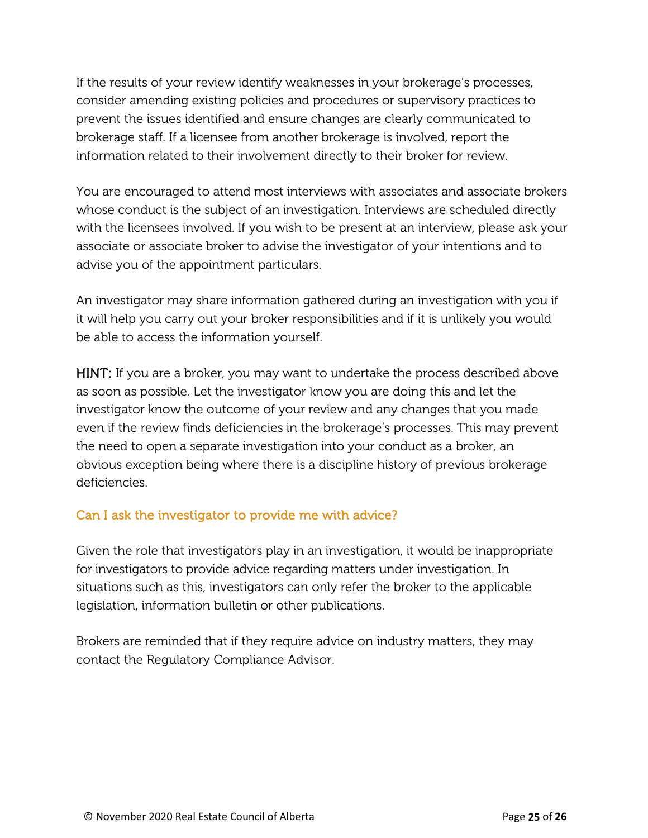If the results of your review identify weaknesses in your brokerage's processes, consider amending existing policies and procedures or supervisory practices to prevent the issues identified and ensure changes are clearly communicated to brokerage staff. If a licensee from another brokerage is involved, report the information related to their involvement directly to their broker for review.

You are encouraged to attend most interviews with associates and associate brokers whose conduct is the subject of an investigation. Interviews are scheduled directly with the licensees involved. If you wish to be present at an interview, please ask your associate or associate broker to advise the investigator of your intentions and to advise you of the appointment particulars.

An investigator may share information gathered during an investigation with you if it will help you carry out your broker responsibilities and if it is unlikely you would be able to access the information yourself.

HINT: If you are a broker, you may want to undertake the process described above as soon as possible. Let the investigator know you are doing this and let the investigator know the outcome of your review and any changes that you made even if the review finds deficiencies in the brokerage's processes. This may prevent the need to open a separate investigation into your conduct as a broker, an obvious exception being where there is a discipline history of previous brokerage deficiencies.

### Can I ask the investigator to provide me with advice?

Given the role that investigators play in an investigation, it would be inappropriate for investigators to provide advice regarding matters under investigation. In situations such as this, investigators can only refer the broker to the applicable legislation, information bulletin or other publications.

Brokers are reminded that if they require advice on industry matters, they may contact the Regulatory Compliance Advisor.